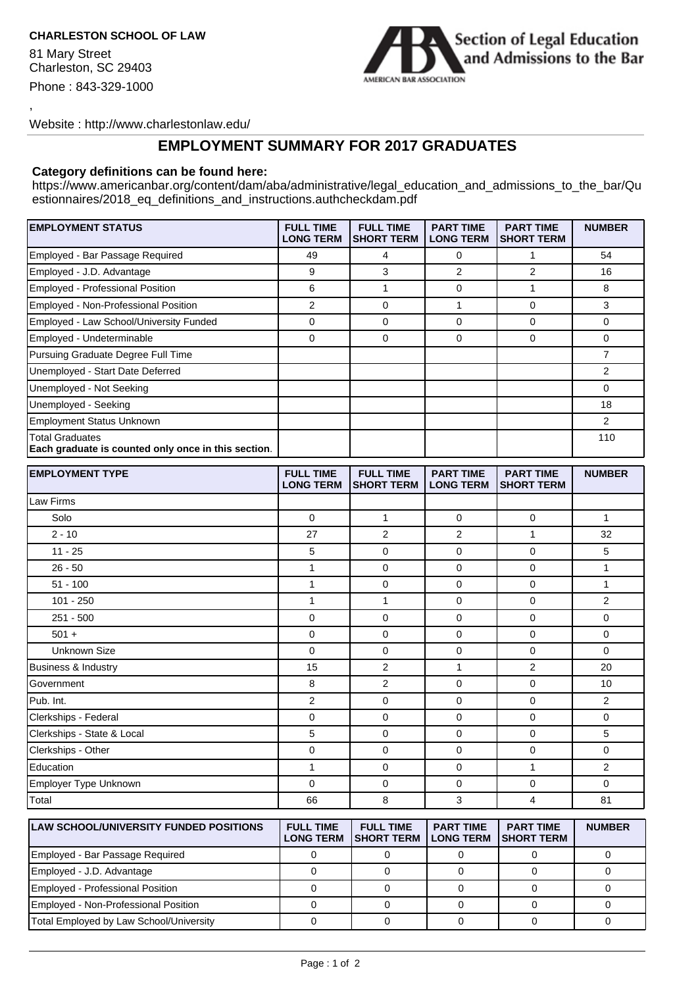## **CHARLESTON SCHOOL OF LAW**

81 Mary Street Charleston, SC 29403 Phone : 843-329-1000

,



Website : http://www.charlestonlaw.edu/

## **EMPLOYMENT SUMMARY FOR 2017 GRADUATES**

## **Category definitions can be found here:**

https://www.americanbar.org/content/dam/aba/administrative/legal\_education\_and\_admissions\_to\_the\_bar/Qu estionnaires/2018\_eq\_definitions\_and\_instructions.authcheckdam.pdf

| <b>EMPLOYMENT STATUS</b>                                                      | <b>FULL TIME</b><br><b>LONG TERM</b> | <b>FULL TIME</b><br><b>SHORT TERM</b> | <b>PART TIME</b><br><b>LONG TERM</b> | <b>PART TIME</b><br><b>SHORT TERM</b> | <b>NUMBER</b>  |
|-------------------------------------------------------------------------------|--------------------------------------|---------------------------------------|--------------------------------------|---------------------------------------|----------------|
| Employed - Bar Passage Required                                               | 49                                   | 4                                     | 0                                    | 1                                     | 54             |
| Employed - J.D. Advantage                                                     | 9                                    | 3                                     | 2                                    | 2                                     | 16             |
| Employed - Professional Position                                              | 6                                    | 1                                     | 0                                    | $\mathbf{1}$                          | 8              |
| Employed - Non-Professional Position                                          | $\overline{2}$                       | $\mathbf 0$                           | $\mathbf{1}$                         | $\mathbf 0$                           | 3              |
| Employed - Law School/University Funded                                       | $\mathbf 0$                          | 0                                     | $\mathbf 0$                          | $\mathbf 0$                           | 0              |
| Employed - Undeterminable                                                     | $\mathbf 0$                          | $\mathbf 0$                           | $\mathbf 0$                          | 0                                     | 0              |
| Pursuing Graduate Degree Full Time                                            |                                      |                                       |                                      |                                       | 7              |
| Unemployed - Start Date Deferred                                              |                                      |                                       |                                      |                                       | $\overline{2}$ |
| Unemployed - Not Seeking                                                      |                                      |                                       |                                      |                                       | 0              |
| Unemployed - Seeking                                                          |                                      |                                       |                                      |                                       | 18             |
| <b>Employment Status Unknown</b>                                              |                                      |                                       |                                      |                                       | $\overline{2}$ |
| <b>Total Graduates</b><br>Each graduate is counted only once in this section. |                                      |                                       |                                      |                                       | 110            |
| <b>EMPLOYMENT TYPE</b>                                                        | <b>FULL TIME</b><br><b>LONG TERM</b> | <b>FULL TIME</b><br><b>SHORT TERM</b> | <b>PART TIME</b><br><b>LONG TERM</b> | <b>PART TIME</b><br><b>SHORT TERM</b> | <b>NUMBER</b>  |
| Law Firms                                                                     |                                      |                                       |                                      |                                       |                |
| Solo                                                                          | 0                                    | $\mathbf{1}$                          | 0                                    | $\mathbf 0$                           | $\mathbf{1}$   |
| $2 - 10$                                                                      | 27                                   | $\overline{2}$                        | $\overline{2}$                       | $\mathbf{1}$                          | 32             |
| $11 - 25$                                                                     | 5                                    | $\mathbf 0$                           | 0                                    | $\mathbf 0$                           | 5              |
| $26 - 50$                                                                     | $\mathbf{1}$                         | $\mathbf 0$                           | 0                                    | $\mathbf 0$                           | $\mathbf{1}$   |
| $51 - 100$                                                                    | $\mathbf{1}$                         | $\mathbf 0$                           | $\mathbf 0$                          | $\mathbf 0$                           | $\mathbf{1}$   |
| 101 - 250                                                                     | $\mathbf{1}$                         | 1                                     | 0                                    | $\mathbf 0$                           | $\overline{2}$ |
| $251 - 500$                                                                   | $\mathbf 0$                          | $\mathbf 0$                           | 0                                    | $\mathbf 0$                           | 0              |
| $501 +$                                                                       | $\mathbf 0$                          | $\mathbf 0$                           | 0                                    | $\mathbf 0$                           | 0              |
| <b>Unknown Size</b>                                                           | $\mathbf 0$                          | $\mathbf 0$                           | 0                                    | 0                                     | 0              |
| <b>Business &amp; Industry</b>                                                | 15                                   | $\overline{2}$                        | 1                                    | $\overline{2}$                        | 20             |
| Government                                                                    | 8                                    | $\overline{2}$                        | 0                                    | 0                                     | 10             |
| Pub. Int.                                                                     | $\boldsymbol{2}$                     | $\mathbf 0$                           | $\mathbf 0$                          | $\mathbf 0$                           | $\overline{2}$ |
| Clerkships - Federal                                                          | $\mathbf 0$                          | 0                                     | $\mathbf 0$                          | 0                                     | 0              |
| Clerkships - State & Local                                                    | 5                                    | $\mathbf 0$                           | $\mathbf 0$                          | 0                                     | 5              |
| Clerkships - Other                                                            | $\mathbf 0$                          | $\mathbf 0$                           | $\mathbf 0$                          | 0                                     | 0              |
| Education                                                                     | $\mathbf{1}$                         | 0                                     | 0                                    | $\mathbf{1}$                          | $\overline{2}$ |
| Employer Type Unknown                                                         | $\mathbf 0$                          | 0                                     | $\pmb{0}$                            | 0                                     | 0              |
| Total                                                                         | 66                                   | 8                                     | 3                                    | $\overline{4}$                        | 81             |
| <b>LAW SCHOOL/UNIVERSITY FUNDED POSITIONS</b>                                 | <b>FULL TIME</b>                     | <b>FULL TIME</b>                      | <b>PART TIME</b>                     | <b>PART TIME</b>                      | <b>NUMBER</b>  |

| <b>ILAW SCHOOL/UNIVERSITY FUNDED POSITIONS</b> | <b>FULL TIME</b><br><b>LONG TERM</b> | <b>FULL TIME</b><br><b>ISHORT TERM</b> | <b>PART TIME</b><br><b>LONG TERM</b> | <b>PART TIME</b><br><b>ISHORT TERM</b> | <b>NUMBER</b> |
|------------------------------------------------|--------------------------------------|----------------------------------------|--------------------------------------|----------------------------------------|---------------|
| Employed - Bar Passage Required                |                                      |                                        |                                      |                                        |               |
| Employed - J.D. Advantage                      |                                      |                                        |                                      |                                        |               |
| Employed - Professional Position               |                                      |                                        |                                      |                                        |               |
| Employed - Non-Professional Position           |                                      |                                        |                                      |                                        |               |
| Total Employed by Law School/University        |                                      |                                        |                                      |                                        |               |